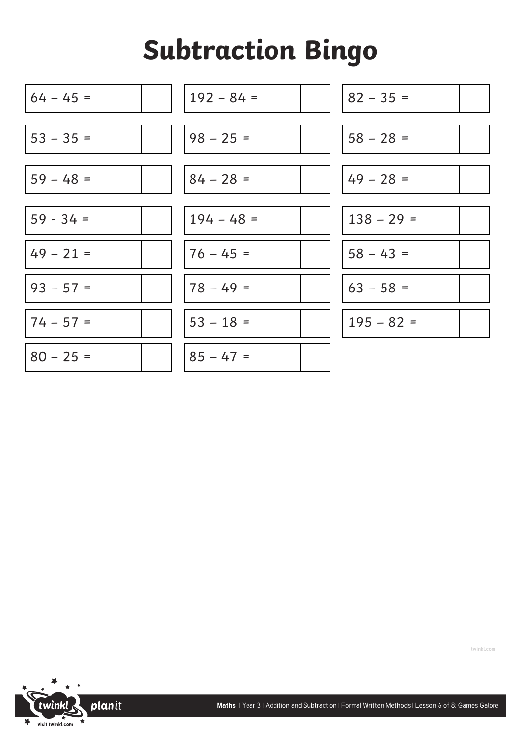## **Subtraction Bingo**





**twinkl.com**